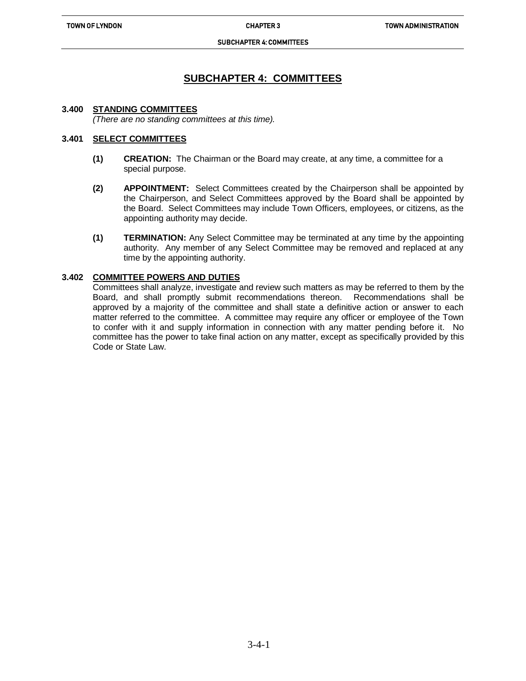#### SUBCHAPTER 4: COMMITTEES

# **SUBCHAPTER 4: COMMITTEES**

### **3.400 STANDING COMMITTEES**

*(There are no standing committees at this time).*

ֺ֝

### **3.401 SELECT COMMITTEES**

- **(1) CREATION:** The Chairman or the Board may create, at any time, a committee for a special purpose.
- **(2) APPOINTMENT:** Select Committees created by the Chairperson shall be appointed by the Chairperson, and Select Committees approved by the Board shall be appointed by the Board. Select Committees may include Town Officers, employees, or citizens, as the appointing authority may decide.
- **(1) TERMINATION:** Any Select Committee may be terminated at any time by the appointing authority. Any member of any Select Committee may be removed and replaced at any time by the appointing authority.

## **3.402 COMMITTEE POWERS AND DUTIES**

Committees shall analyze, investigate and review such matters as may be referred to them by the Board, and shall promptly submit recommendations thereon. Recommendations shall be approved by a majority of the committee and shall state a definitive action or answer to each matter referred to the committee. A committee may require any officer or employee of the Town to confer with it and supply information in connection with any matter pending before it. No committee has the power to take final action on any matter, except as specifically provided by this Code or State Law.